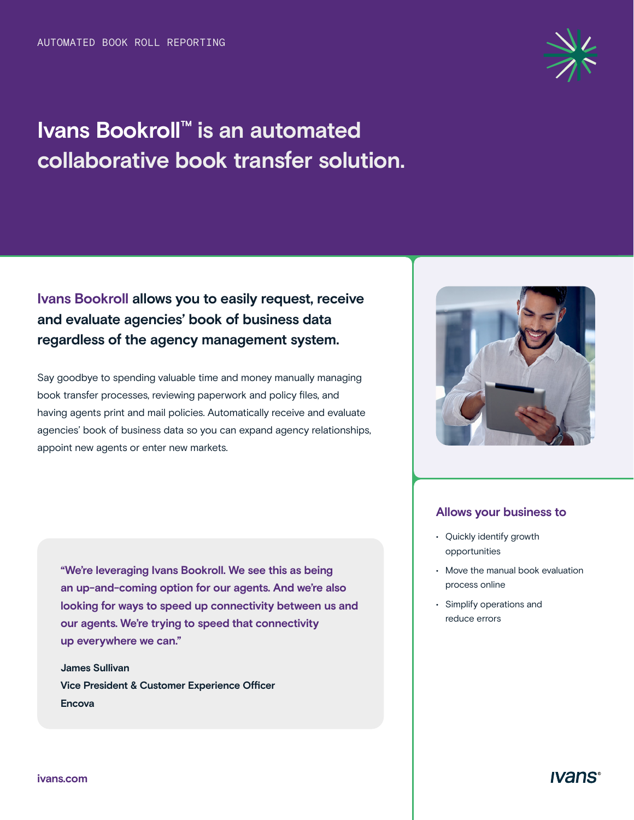# **Ivans Bookroll™ is an automated collaborative book transfer solution.**

### **Allows your business to**

- Quickly identify growth opportunities
- Move the manual book evaluation process online
- Simplify operations and reduce errors

# **Ivans Bookroll allows you to easily request, receive and evaluate agencies' book of business data regardless of the agency management system.**

Say goodbye to spending valuable time and money manually managing book transfer processes, reviewing paperwork and policy files, and having agents print and mail policies. Automatically receive and evaluate agencies' book of business data so you can expand agency relationships, appoint new agents or enter new markets.

**"We're leveraging Ivans Bookroll. We see this as being an up-and-coming option for our agents. And we're also looking for ways to speed up connectivity between us and our agents. We're trying to speed that connectivity up everywhere we can."**

**James Sullivan Vice President & Customer Experience Officer Encova**